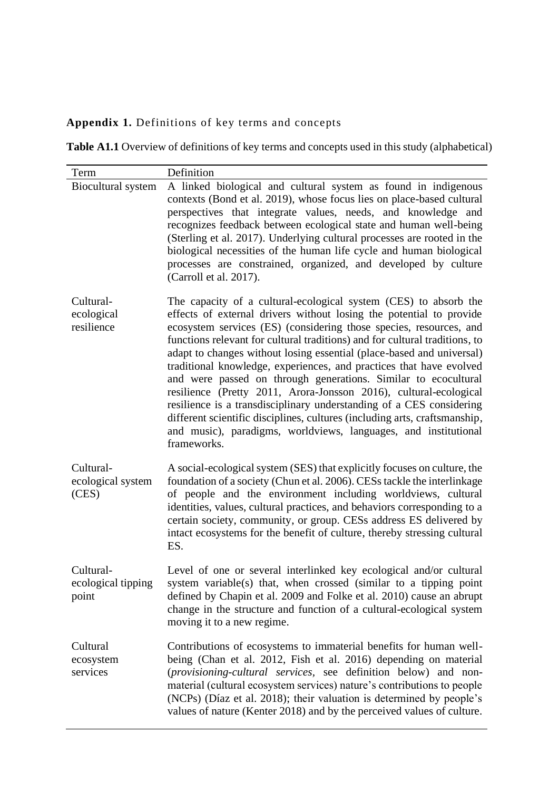## **Appendix 1.** Definitions of key terms and concepts

**Table A1.1** Overview of definitions of key terms and concepts used in this study (alphabetical)

| Term                                     | Definition                                                                                                                                                                                                                                                                                                                                                                                                                                                                                                                                                                                                                                                                                                                                                                                                                  |
|------------------------------------------|-----------------------------------------------------------------------------------------------------------------------------------------------------------------------------------------------------------------------------------------------------------------------------------------------------------------------------------------------------------------------------------------------------------------------------------------------------------------------------------------------------------------------------------------------------------------------------------------------------------------------------------------------------------------------------------------------------------------------------------------------------------------------------------------------------------------------------|
| Biocultural system                       | A linked biological and cultural system as found in indigenous<br>contexts (Bond et al. 2019), whose focus lies on place-based cultural<br>perspectives that integrate values, needs, and knowledge and<br>recognizes feedback between ecological state and human well-being<br>(Sterling et al. 2017). Underlying cultural processes are rooted in the<br>biological necessities of the human life cycle and human biological<br>processes are constrained, organized, and developed by culture<br>(Carroll et al. 2017).                                                                                                                                                                                                                                                                                                  |
| Cultural-<br>ecological<br>resilience    | The capacity of a cultural-ecological system (CES) to absorb the<br>effects of external drivers without losing the potential to provide<br>ecosystem services (ES) (considering those species, resources, and<br>functions relevant for cultural traditions) and for cultural traditions, to<br>adapt to changes without losing essential (place-based and universal)<br>traditional knowledge, experiences, and practices that have evolved<br>and were passed on through generations. Similar to ecocultural<br>resilience (Pretty 2011, Arora-Jonsson 2016), cultural-ecological<br>resilience is a transdisciplinary understanding of a CES considering<br>different scientific disciplines, cultures (including arts, craftsmanship,<br>and music), paradigms, worldviews, languages, and institutional<br>frameworks. |
| Cultural-<br>ecological system<br>(CES)  | A social-ecological system (SES) that explicitly focuses on culture, the<br>foundation of a society (Chun et al. 2006). CESs tackle the interlinkage<br>of people and the environment including worldviews, cultural<br>identities, values, cultural practices, and behaviors corresponding to a<br>certain society, community, or group. CESs address ES delivered by<br>intact ecosystems for the benefit of culture, thereby stressing cultural<br>ES.                                                                                                                                                                                                                                                                                                                                                                   |
| Cultural-<br>ecological tipping<br>point | Level of one or several interlinked key ecological and/or cultural<br>system variable(s) that, when crossed (similar to a tipping point<br>defined by Chapin et al. 2009 and Folke et al. 2010) cause an abrupt<br>change in the structure and function of a cultural-ecological system<br>moving it to a new regime.                                                                                                                                                                                                                                                                                                                                                                                                                                                                                                       |
| Cultural<br>ecosystem<br>services        | Contributions of ecosystems to immaterial benefits for human well-<br>being (Chan et al. 2012, Fish et al. 2016) depending on material<br>(provisioning-cultural services, see definition below) and non-<br>material (cultural ecosystem services) nature's contributions to people<br>(NCPs) (Díaz et al. 2018); their valuation is determined by people's<br>values of nature (Kenter 2018) and by the perceived values of culture.                                                                                                                                                                                                                                                                                                                                                                                      |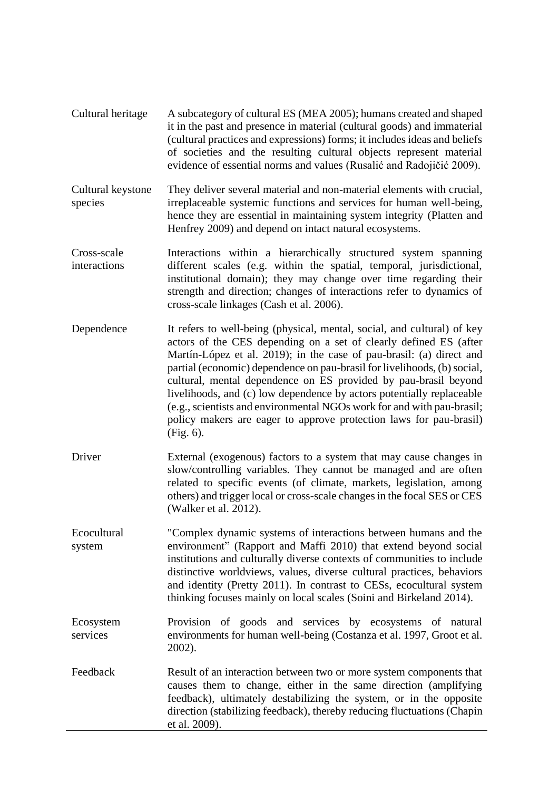- Cultural heritage A subcategory of cultural ES (MEA 2005); humans created and shaped it in the past and presence in material (cultural goods) and immaterial (cultural practices and expressions) forms; it includes ideas and beliefs of societies and the resulting cultural objects represent material evidence of essential norms and values (Rusalić and Radojičić 2009).
- Cultural keystone species They deliver several material and non-material elements with crucial, irreplaceable systemic functions and services for human well-being, hence they are essential in maintaining system integrity (Platten and Henfrey 2009) and depend on intact natural ecosystems.
- Cross-scale interactions Interactions within a hierarchically structured system spanning different scales (e.g. within the spatial, temporal, jurisdictional, institutional domain); they may change over time regarding their strength and direction; changes of interactions refer to dynamics of cross-scale linkages (Cash et al. 2006).
- Dependence It refers to well-being (physical, mental, social, and cultural) of key actors of the CES depending on a set of clearly defined ES (after Martín-López et al. 2019); in the case of pau-brasil: (a) direct and partial (economic) dependence on pau-brasil for livelihoods, (b) social, cultural, mental dependence on ES provided by pau-brasil beyond livelihoods, and (c) low dependence by actors potentially replaceable (e.g., scientists and environmental NGOs work for and with pau-brasil; policy makers are eager to approve protection laws for pau-brasil) (Fig. 6).
- Driver External (exogenous) factors to a system that may cause changes in slow/controlling variables. They cannot be managed and are often related to specific events (of climate, markets, legislation, among others) and trigger local or cross-scale changes in the focal SES or CES (Walker et al. 2012).

Ecocultural system "Complex dynamic systems of interactions between humans and the environment" (Rapport and Maffi 2010) that extend beyond social institutions and culturally diverse contexts of communities to include distinctive worldviews, values, diverse cultural practices, behaviors and identity (Pretty 2011). In contrast to CESs, ecocultural system thinking focuses mainly on local scales (Soini and Birkeland 2014).

Ecosystem services Provision of goods and services by ecosystems of natural environments for human well-being (Costanza et al. 1997, Groot et al. 2002).

Feedback Result of an interaction between two or more system components that causes them to change, either in the same direction (amplifying feedback), ultimately destabilizing the system, or in the opposite direction (stabilizing feedback), thereby reducing fluctuations (Chapin et al. 2009).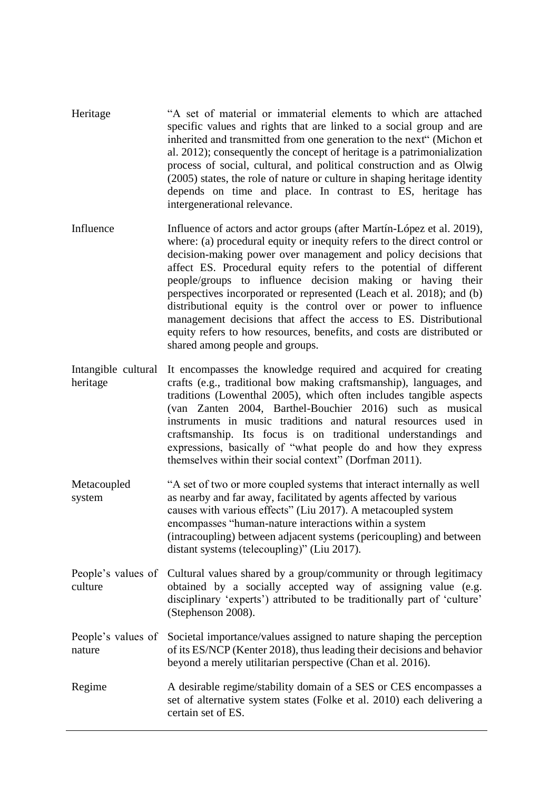- Heritage "A set of material or immaterial elements to which are attached specific values and rights that are linked to a social group and are inherited and transmitted from one generation to the next" (Michon et al. 2012); consequently the concept of heritage is a patrimonialization process of social, cultural, and political construction and as Olwig (2005) states, the role of nature or culture in shaping heritage identity depends on time and place. In contrast to ES, heritage has intergenerational relevance.
- Influence Influence of actors and actor groups (after Martín-López et al. 2019), where: (a) procedural equity or inequity refers to the direct control or decision-making power over management and policy decisions that affect ES. Procedural equity refers to the potential of different people/groups to influence decision making or having their perspectives incorporated or represented (Leach et al. 2018); and (b) distributional equity is the control over or power to influence management decisions that affect the access to ES. Distributional equity refers to how resources, benefits, and costs are distributed or shared among people and groups.
- Intangible cultural It encompasses the knowledge required and acquired for creating heritage crafts (e.g., traditional bow making craftsmanship), languages, and traditions (Lowenthal 2005), which often includes tangible aspects (van Zanten 2004, Barthel-Bouchier 2016) such as musical instruments in music traditions and natural resources used in craftsmanship. Its focus is on traditional understandings and expressions, basically of "what people do and how they express themselves within their social context" (Dorfman 2011).
- Metacoupled system "A set of two or more coupled systems that interact internally as well as nearby and far away, facilitated by agents affected by various causes with various effects" (Liu 2017). A metacoupled system encompasses "human-nature interactions within a system (intracoupling) between adjacent systems (pericoupling) and between distant systems (telecoupling)" (Liu 2017).
- People's values of Cultural values shared by a group/community or through legitimacy culture obtained by a socially accepted way of assigning value (e.g. disciplinary 'experts') attributed to be traditionally part of 'culture' (Stephenson 2008).
- People's values of Societal importance/values assigned to nature shaping the perception nature of its ES/NCP (Kenter 2018), thus leading their decisions and behavior beyond a merely utilitarian perspective (Chan et al. 2016).
- Regime A desirable regime/stability domain of a SES or CES encompasses a set of alternative system states (Folke et al. 2010) each delivering a certain set of ES.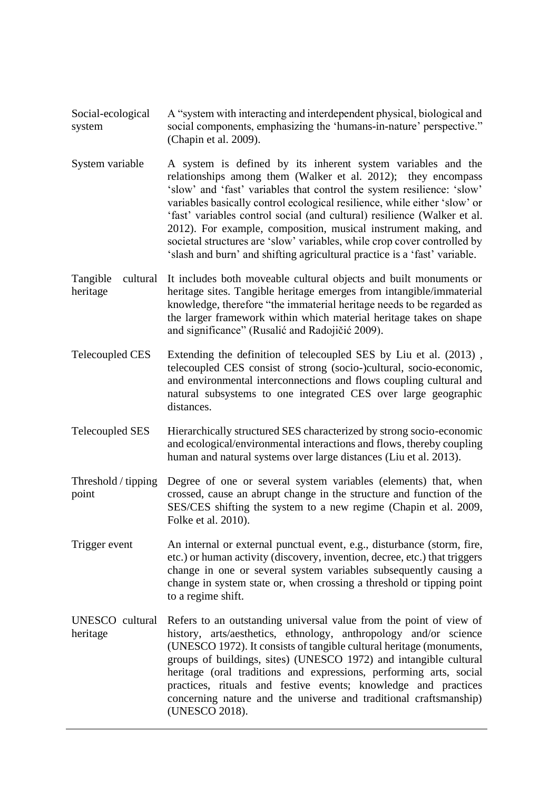- Social-ecological system A "system with interacting and interdependent physical, biological and social components, emphasizing the 'humans-in-nature' perspective." (Chapin et al. 2009).
- System variable A system is defined by its inherent system variables and the relationships among them (Walker et al. 2012); they encompass 'slow' and 'fast' variables that control the system resilience: 'slow' variables basically control ecological resilience, while either 'slow' or 'fast' variables control social (and cultural) resilience (Walker et al. 2012). For example, composition, musical instrument making, and societal structures are 'slow' variables, while crop cover controlled by 'slash and burn' and shifting agricultural practice is a 'fast' variable.
- Tangible heritage It includes both moveable cultural objects and built monuments or heritage sites. Tangible heritage emerges from intangible/immaterial knowledge, therefore "the immaterial heritage needs to be regarded as the larger framework within which material heritage takes on shape and significance" (Rusalić and Radojičić 2009).
- Telecoupled CES Extending the definition of telecoupled SES by Liu et al. (2013) , telecoupled CES consist of strong (socio-)cultural, socio-economic, and environmental interconnections and flows coupling cultural and natural subsystems to one integrated CES over large geographic distances.
- Telecoupled SES Hierarchically structured SES characterized by strong socio-economic and ecological/environmental interactions and flows, thereby coupling human and natural systems over large distances (Liu et al. 2013).
- Threshold / tipping point Degree of one or several system variables (elements) that, when crossed, cause an abrupt change in the structure and function of the SES/CES shifting the system to a new regime (Chapin et al. 2009, Folke et al. 2010).
- Trigger event An internal or external punctual event, e.g., disturbance (storm, fire, etc.) or human activity (discovery, invention, decree, etc.) that triggers change in one or several system variables subsequently causing a change in system state or, when crossing a threshold or tipping point to a regime shift.
- UNESCO cultural Refers to an outstanding universal value from the point of view of heritage history, arts/aesthetics, ethnology, anthropology and/or science (UNESCO 1972). It consists of tangible cultural heritage (monuments, groups of buildings, sites) (UNESCO 1972) and intangible cultural heritage (oral traditions and expressions, performing arts, social practices, rituals and festive events; knowledge and practices concerning nature and the universe and traditional craftsmanship) (UNESCO 2018).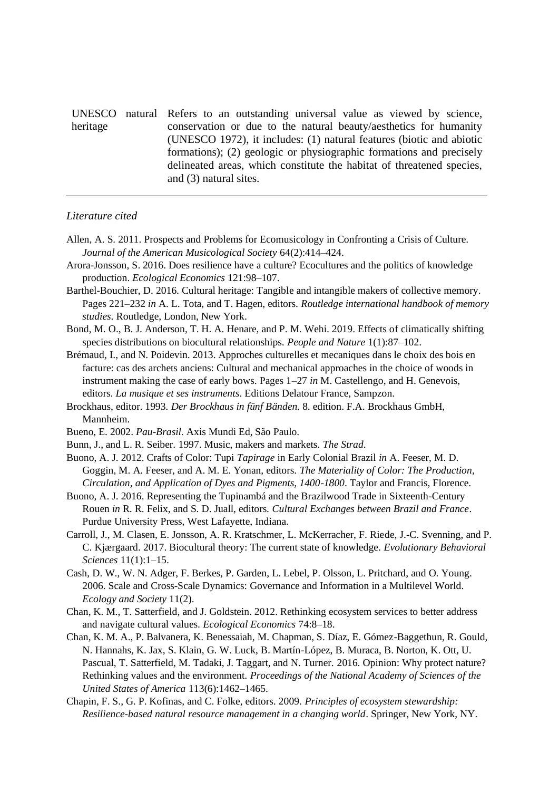UNESCO natural Refers to an outstanding universal value as viewed by science, heritage conservation or due to the natural beauty/aesthetics for humanity (UNESCO 1972), it includes: (1) natural features (biotic and abiotic formations); (2) geologic or physiographic formations and precisely delineated areas, which constitute the habitat of threatened species, and (3) natural sites.

## *Literature cited*

- Allen, A. S. 2011. Prospects and Problems for Ecomusicology in Confronting a Crisis of Culture. *Journal of the American Musicological Society* 64(2):414–424.
- Arora-Jonsson, S. 2016. Does resilience have a culture? Ecocultures and the politics of knowledge production. *Ecological Economics* 121:98–107.
- Barthel-Bouchier, D. 2016. Cultural heritage: Tangible and intangible makers of collective memory. Pages 221–232 *in* A. L. Tota, and T. Hagen, editors. *Routledge international handbook of memory studies*. Routledge, London, New York.
- Bond, M. O., B. J. Anderson, T. H. A. Henare, and P. M. Wehi. 2019. Effects of climatically shifting species distributions on biocultural relationships. *People and Nature* 1(1):87–102.
- Brémaud, I., and N. Poidevin. 2013. Approches culturelles et mecaniques dans le choix des bois en facture: cas des archets anciens: Cultural and mechanical approaches in the choice of woods in instrument making the case of early bows. Pages 1–27 *in* M. Castellengo, and H. Genevois, editors. *La musique et ses instruments*. Editions Delatour France, Sampzon.
- Brockhaus, editor. 1993. *Der Brockhaus in fünf Bänden.* 8. edition. F.A. Brockhaus GmbH, Mannheim.
- Bueno, E. 2002. *Pau-Brasil*. Axis Mundi Ed, São Paulo.
- Bunn, J., and L. R. Seiber. 1997. Music, makers and markets. *The Strad*.
- Buono, A. J. 2012. Crafts of Color: Tupi *Tapirage* in Early Colonial Brazil *in* A. Feeser, M. D. Goggin, M. A. Feeser, and A. M. E. Yonan, editors. *The Materiality of Color: The Production, Circulation, and Application of Dyes and Pigments, 1400-1800*. Taylor and Francis, Florence.
- Buono, A. J. 2016. Representing the Tupinambá and the Brazilwood Trade in Sixteenth-Century Rouen *in* R. R. Felix, and S. D. Juall, editors. *Cultural Exchanges between Brazil and France*. Purdue University Press, West Lafayette, Indiana.
- Carroll, J., M. Clasen, E. Jonsson, A. R. Kratschmer, L. McKerracher, F. Riede, J.-C. Svenning, and P. C. Kjærgaard. 2017. Biocultural theory: The current state of knowledge. *Evolutionary Behavioral Sciences* 11(1):1–15.
- Cash, D. W., W. N. Adger, F. Berkes, P. Garden, L. Lebel, P. Olsson, L. Pritchard, and O. Young. 2006. Scale and Cross-Scale Dynamics: Governance and Information in a Multilevel World. *Ecology and Society* 11(2).
- Chan, K. M., T. Satterfield, and J. Goldstein. 2012. Rethinking ecosystem services to better address and navigate cultural values. *Ecological Economics* 74:8–18.
- Chan, K. M. A., P. Balvanera, K. Benessaiah, M. Chapman, S. Díaz, E. Gómez-Baggethun, R. Gould, N. Hannahs, K. Jax, S. Klain, G. W. Luck, B. Martín-López, B. Muraca, B. Norton, K. Ott, U. Pascual, T. Satterfield, M. Tadaki, J. Taggart, and N. Turner. 2016. Opinion: Why protect nature? Rethinking values and the environment. *Proceedings of the National Academy of Sciences of the United States of America* 113(6):1462–1465.
- Chapin, F. S., G. P. Kofinas, and C. Folke, editors. 2009. *Principles of ecosystem stewardship: Resilience-based natural resource management in a changing world*. Springer, New York, NY.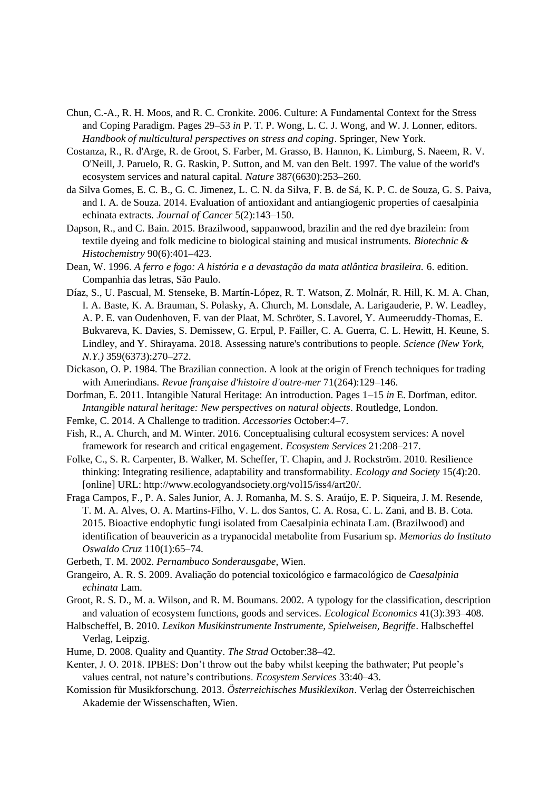- Chun, C.-A., R. H. Moos, and R. C. Cronkite. 2006. Culture: A Fundamental Context for the Stress and Coping Paradigm. Pages 29–53 *in* P. T. P. Wong, L. C. J. Wong, and W. J. Lonner, editors. *Handbook of multicultural perspectives on stress and coping*. Springer, New York.
- Costanza, R., R. d'Arge, R. de Groot, S. Farber, M. Grasso, B. Hannon, K. Limburg, S. Naeem, R. V. O'Neill, J. Paruelo, R. G. Raskin, P. Sutton, and M. van den Belt. 1997. The value of the world's ecosystem services and natural capital. *Nature* 387(6630):253–260.
- da Silva Gomes, E. C. B., G. C. Jimenez, L. C. N. da Silva, F. B. de Sá, K. P. C. de Souza, G. S. Paiva, and I. A. de Souza. 2014. Evaluation of antioxidant and antiangiogenic properties of caesalpinia echinata extracts. *Journal of Cancer* 5(2):143–150.
- Dapson, R., and C. Bain. 2015. Brazilwood, sappanwood, brazilin and the red dye brazilein: from textile dyeing and folk medicine to biological staining and musical instruments. *Biotechnic & Histochemistry* 90(6):401–423.
- Dean, W. 1996. *A ferro e fogo: A história e a devastação da mata atlântica brasileira.* 6. edition. Companhia das letras, São Paulo.
- Díaz, S., U. Pascual, M. Stenseke, B. Martín-López, R. T. Watson, Z. Molnár, R. Hill, K. M. A. Chan, I. A. Baste, K. A. Brauman, S. Polasky, A. Church, M. Lonsdale, A. Larigauderie, P. W. Leadley, A. P. E. van Oudenhoven, F. van der Plaat, M. Schröter, S. Lavorel, Y. Aumeeruddy-Thomas, E. Bukvareva, K. Davies, S. Demissew, G. Erpul, P. Failler, C. A. Guerra, C. L. Hewitt, H. Keune, S. Lindley, and Y. Shirayama. 2018. Assessing nature's contributions to people. *Science (New York, N.Y.)* 359(6373):270–272.
- Dickason, O. P. 1984. The Brazilian connection. A look at the origin of French techniques for trading with Amerindians. *Revue française d'histoire d'outre-mer* 71(264):129–146.
- Dorfman, E. 2011. Intangible Natural Heritage: An introduction. Pages 1–15 *in* E. Dorfman, editor. *Intangible natural heritage: New perspectives on natural objects*. Routledge, London.
- Femke, C. 2014. A Challenge to tradition. *Accessories* October:4–7.
- Fish, R., A. Church, and M. Winter. 2016. Conceptualising cultural ecosystem services: A novel framework for research and critical engagement. *Ecosystem Services* 21:208–217.
- Folke, C., S. R. Carpenter, B. Walker, M. Scheffer, T. Chapin, and J. Rockström. 2010. Resilience thinking: Integrating resilience, adaptability and transformability. *Ecology and Society* 15(4):20. [online] URL: http://www.ecologyandsociety.org/vol15/iss4/art20/.
- Fraga Campos, F., P. A. Sales Junior, A. J. Romanha, M. S. S. Araújo, E. P. Siqueira, J. M. Resende, T. M. A. Alves, O. A. Martins-Filho, V. L. dos Santos, C. A. Rosa, C. L. Zani, and B. B. Cota. 2015. Bioactive endophytic fungi isolated from Caesalpinia echinata Lam. (Brazilwood) and identification of beauvericin as a trypanocidal metabolite from Fusarium sp. *Memorias do Instituto Oswaldo Cruz* 110(1):65–74.
- Gerbeth, T. M. 2002. *Pernambuco Sonderausgabe*, Wien.
- Grangeiro, A. R. S. 2009. Avaliação do potencial toxicológico e farmacológico de *Caesalpinia echinata* Lam.
- Groot, R. S. D., M. a. Wilson, and R. M. Boumans. 2002. A typology for the classification, description and valuation of ecosystem functions, goods and services. *Ecological Economics* 41(3):393–408.
- Halbscheffel, B. 2010. *Lexikon Musikinstrumente Instrumente, Spielweisen, Begriffe*. Halbscheffel Verlag, Leipzig.
- Hume, D. 2008. Quality and Quantity. *The Strad* October:38–42.
- Kenter, J. O. 2018. IPBES: Don't throw out the baby whilst keeping the bathwater; Put people's values central, not nature's contributions. *Ecosystem Services* 33:40–43.
- Komission für Musikforschung. 2013. *Österreichisches Musiklexikon*. Verlag der Österreichischen Akademie der Wissenschaften, Wien.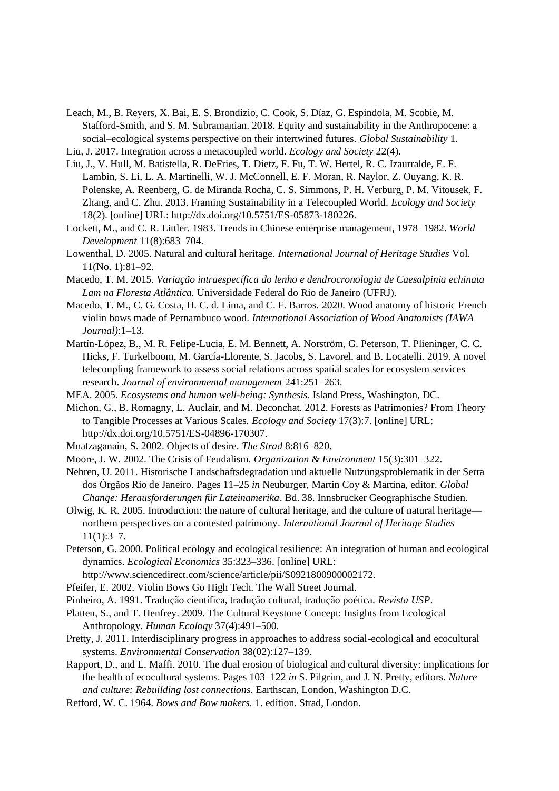- Leach, M., B. Reyers, X. Bai, E. S. Brondizio, C. Cook, S. Díaz, G. Espindola, M. Scobie, M. Stafford-Smith, and S. M. Subramanian. 2018. Equity and sustainability in the Anthropocene: a social–ecological systems perspective on their intertwined futures. *Global Sustainability* 1.
- Liu, J. 2017. Integration across a metacoupled world. *Ecology and Society* 22(4).
- Liu, J., V. Hull, M. Batistella, R. DeFries, T. Dietz, F. Fu, T. W. Hertel, R. C. Izaurralde, E. F. Lambin, S. Li, L. A. Martinelli, W. J. McConnell, E. F. Moran, R. Naylor, Z. Ouyang, K. R. Polenske, A. Reenberg, G. de Miranda Rocha, C. S. Simmons, P. H. Verburg, P. M. Vitousek, F. Zhang, and C. Zhu. 2013. Framing Sustainability in a Telecoupled World. *Ecology and Society* 18(2). [online] URL: http://dx.doi.org/10.5751/ES-05873-180226.
- Lockett, M., and C. R. Littler. 1983. Trends in Chinese enterprise management, 1978–1982. *World Development* 11(8):683–704.
- Lowenthal, D. 2005. Natural and cultural heritage. *International Journal of Heritage Studies* Vol. 11(No. 1):81–92.
- Macedo, T. M. 2015. *Variação intraespecífica do lenho e dendrocronologia de Caesalpinia echinata Lam na Floresta Atlântica.* Universidade Federal do Rio de Janeiro (UFRJ).
- Macedo, T. M., C. G. Costa, H. C. d. Lima, and C. F. Barros. 2020. Wood anatomy of historic French violin bows made of Pernambuco wood. *International Association of Wood Anatomists (IAWA Journal)*:1–13.
- Martín-López, B., M. R. Felipe-Lucia, E. M. Bennett, A. Norström, G. Peterson, T. Plieninger, C. C. Hicks, F. Turkelboom, M. García-Llorente, S. Jacobs, S. Lavorel, and B. Locatelli. 2019. A novel telecoupling framework to assess social relations across spatial scales for ecosystem services research. *Journal of environmental management* 241:251–263.
- MEA. 2005. *Ecosystems and human well-being: Synthesis*. Island Press, Washington, DC.
- Michon, G., B. Romagny, L. Auclair, and M. Deconchat. 2012. Forests as Patrimonies? From Theory to Tangible Processes at Various Scales. *Ecology and Society* 17(3):7. [online] URL: http://dx.doi.org/10.5751/ES-04896-170307.
- Mnatzaganain, S. 2002. Objects of desire. *The Strad* 8:816–820.
- Moore, J. W. 2002. The Crisis of Feudalism. *Organization & Environment* 15(3):301–322.
- Nehren, U. 2011. Historische Landschaftsdegradation und aktuelle Nutzungsproblematik in der Serra dos Órgãos Rio de Janeiro. Pages 11–25 *in* Neuburger, Martin Coy & Martina, editor. *Global Change: Herausforderungen für Lateinamerika*. Bd. 38. Innsbrucker Geographische Studien.
- Olwig, K. R. 2005. Introduction: the nature of cultural heritage, and the culture of natural heritage northern perspectives on a contested patrimony. *International Journal of Heritage Studies*  $11(1):3-7.$
- Peterson, G. 2000. Political ecology and ecological resilience: An integration of human and ecological dynamics. *Ecological Economics* 35:323–336. [online] URL:
- http://www.sciencedirect.com/science/article/pii/S0921800900002172.
- Pfeifer, E. 2002. Violin Bows Go High Tech. The Wall Street Journal.
- Pinheiro, A. 1991. Tradução científica, tradução cultural, tradução poética. *Revista USP*.
- Platten, S., and T. Henfrey. 2009. The Cultural Keystone Concept: Insights from Ecological Anthropology. *Human Ecology* 37(4):491–500.
- Pretty, J. 2011. Interdisciplinary progress in approaches to address social-ecological and ecocultural systems. *Environmental Conservation* 38(02):127–139.
- Rapport, D., and L. Maffi. 2010. The dual erosion of biological and cultural diversity: implications for the health of ecocultural systems. Pages 103–122 *in* S. Pilgrim, and J. N. Pretty, editors. *Nature and culture: Rebuilding lost connections*. Earthscan, London, Washington D.C.
- Retford, W. C. 1964. *Bows and Bow makers.* 1. edition. Strad, London.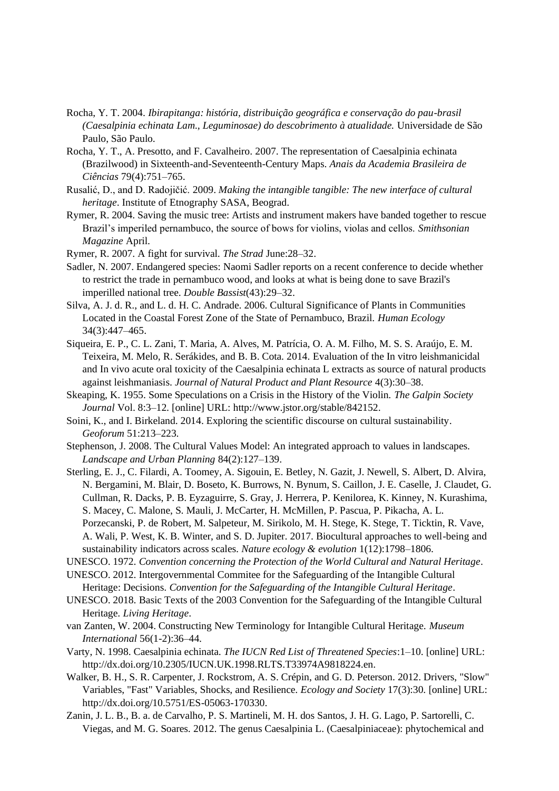- Rocha, Y. T. 2004. *Ibirapitanga: história, distribuição geográfica e conservação do pau-brasil (Caesalpinia echinata Lam., Leguminosae) do descobrimento à atualidade.* Universidade de São Paulo, São Paulo.
- Rocha, Y. T., A. Presotto, and F. Cavalheiro. 2007. The representation of Caesalpinia echinata (Brazilwood) in Sixteenth-and-Seventeenth-Century Maps. *Anais da Academia Brasileira de Ciências* 79(4):751–765.
- Rusalić, D., and D. Radojičić. 2009. *Making the intangible tangible: The new interface of cultural heritage*. Institute of Etnography SASA, Beograd.
- Rymer, R. 2004. Saving the music tree: Artists and instrument makers have banded together to rescue Brazil's imperiled pernambuco, the source of bows for violins, violas and cellos. *Smithsonian Magazine* April.
- Rymer, R. 2007. A fight for survival. *The Strad* June:28–32.
- Sadler, N. 2007. Endangered species: Naomi Sadler reports on a recent conference to decide whether to restrict the trade in pernambuco wood, and looks at what is being done to save Brazil's imperilled national tree. *Double Bassist*(43):29–32.
- Silva, A. J. d. R., and L. d. H. C. Andrade. 2006. Cultural Significance of Plants in Communities Located in the Coastal Forest Zone of the State of Pernambuco, Brazil. *Human Ecology* 34(3):447–465.
- Siqueira, E. P., C. L. Zani, T. Maria, A. Alves, M. Patrícia, O. A. M. Filho, M. S. S. Araújo, E. M. Teixeira, M. Melo, R. Serákides, and B. B. Cota. 2014. Evaluation of the In vitro leishmanicidal and In vivo acute oral toxicity of the Caesalpinia echinata L extracts as source of natural products against leishmaniasis. *Journal of Natural Product and Plant Resource* 4(3):30–38.
- Skeaping, K. 1955. Some Speculations on a Crisis in the History of the Violin. *The Galpin Society Journal* Vol. 8:3–12. [online] URL: http://www.jstor.org/stable/842152.
- Soini, K., and I. Birkeland. 2014. Exploring the scientific discourse on cultural sustainability. *Geoforum* 51:213–223.
- Stephenson, J. 2008. The Cultural Values Model: An integrated approach to values in landscapes. *Landscape and Urban Planning* 84(2):127–139.
- Sterling, E. J., C. Filardi, A. Toomey, A. Sigouin, E. Betley, N. Gazit, J. Newell, S. Albert, D. Alvira, N. Bergamini, M. Blair, D. Boseto, K. Burrows, N. Bynum, S. Caillon, J. E. Caselle, J. Claudet, G. Cullman, R. Dacks, P. B. Eyzaguirre, S. Gray, J. Herrera, P. Kenilorea, K. Kinney, N. Kurashima, S. Macey, C. Malone, S. Mauli, J. McCarter, H. McMillen, P. Pascua, P. Pikacha, A. L. Porzecanski, P. de Robert, M. Salpeteur, M. Sirikolo, M. H. Stege, K. Stege, T. Ticktin, R. Vave, A. Wali, P. West, K. B. Winter, and S. D. Jupiter. 2017. Biocultural approaches to well-being and sustainability indicators across scales. *Nature ecology & evolution* 1(12):1798–1806.
- UNESCO. 1972. *Convention concerning the Protection of the World Cultural and Natural Heritage*.
- UNESCO. 2012. Intergovernmental Commitee for the Safeguarding of the Intangible Cultural Heritage: Decisions. *Convention for the Safeguarding of the Intangible Cultural Heritage*.
- UNESCO. 2018. Basic Texts of the 2003 Convention for the Safeguarding of the Intangible Cultural Heritage. *Living Heritage*.
- van Zanten, W. 2004. Constructing New Terminology for Intangible Cultural Heritage. *Museum International* 56(1-2):36–44.
- Varty, N. 1998. Caesalpinia echinata. *The IUCN Red List of Threatened Species*:1–10. [online] URL: http://dx.doi.org/10.2305/IUCN.UK.1998.RLTS.T33974A9818224.en.
- Walker, B. H., S. R. Carpenter, J. Rockstrom, A. S. Crépin, and G. D. Peterson. 2012. Drivers, "Slow" Variables, "Fast" Variables, Shocks, and Resilience. *Ecology and Society* 17(3):30. [online] URL: http://dx.doi.org/10.5751/ES-05063-170330.
- Zanin, J. L. B., B. a. de Carvalho, P. S. Martineli, M. H. dos Santos, J. H. G. Lago, P. Sartorelli, C. Viegas, and M. G. Soares. 2012. The genus Caesalpinia L. (Caesalpiniaceae): phytochemical and